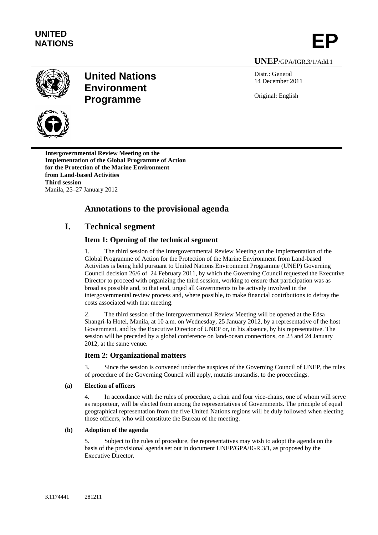



# **United Nations Environment Programme**

Distr.: General 14 December 2011

Original: English

**UNEP**/GPA/IGR.3/1/Add.1

**Intergovernmental Review Meeting on the Implementation of the Global Programme of Action for the Protection of the Marine Environment from Land-based Activities Third session**  Manila, 25–27 January 2012

# **Annotations to the provisional agenda**

# **I. Technical segment**

# **Item 1: Opening of the technical segment**

1. The third session of the Intergovernmental Review Meeting on the Implementation of the Global Programme of Action for the Protection of the Marine Environment from Land-based Activities is being held pursuant to United Nations Environment Programme (UNEP) Governing Council decision 26/6 of 24 February 2011, by which the Governing Council requested the Executive Director to proceed with organizing the third session, working to ensure that participation was as broad as possible and, to that end, urged all Governments to be actively involved in the intergovernmental review process and, where possible, to make financial contributions to defray the costs associated with that meeting.

2. The third session of the Intergovernmental Review Meeting will be opened at the Edsa Shangri-la Hotel, Manila, at 10 a.m. on Wednesday, 25 January 2012, by a representative of the host Government, and by the Executive Director of UNEP or, in his absence, by his representative. The session will be preceded by a global conference on land-ocean connections, on 23 and 24 January 2012, at the same venue.

# **Item 2: Organizational matters**

3. Since the session is convened under the auspices of the Governing Council of UNEP, the rules of procedure of the Governing Council will apply, mutatis mutandis, to the proceedings.

# **(a) Election of officers**

4. In accordance with the rules of procedure, a chair and four vice-chairs, one of whom will serve as rapporteur, will be elected from among the representatives of Governments. The principle of equal geographical representation from the five United Nations regions will be duly followed when electing those officers, who will constitute the Bureau of the meeting.

# **(b) Adoption of the agenda**

5. Subject to the rules of procedure, the representatives may wish to adopt the agenda on the basis of the provisional agenda set out in document UNEP/GPA/IGR.3/1, as proposed by the Executive Director.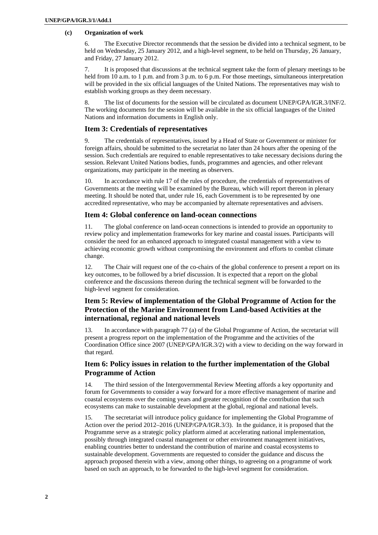#### **(c) Organization of work**

6. The Executive Director recommends that the session be divided into a technical segment, to be held on Wednesday, 25 January 2012, and a high-level segment, to be held on Thursday, 26 January, and Friday, 27 January 2012.

7. It is proposed that discussions at the technical segment take the form of plenary meetings to be held from 10 a.m. to 1 p.m. and from 3 p.m. to 6 p.m. For those meetings, simultaneous interpretation will be provided in the six official languages of the United Nations. The representatives may wish to establish working groups as they deem necessary.

8. The list of documents for the session will be circulated as document UNEP/GPA/IGR.3/INF/2. The working documents for the session will be available in the six official languages of the United Nations and information documents in English only.

# **Item 3: Credentials of representatives**

9. The credentials of representatives, issued by a Head of State or Government or minister for foreign affairs, should be submitted to the secretariat no later than 24 hours after the opening of the session. Such credentials are required to enable representatives to take necessary decisions during the session. Relevant United Nations bodies, funds, programmes and agencies, and other relevant organizations, may participate in the meeting as observers.

10. In accordance with rule 17 of the rules of procedure, the credentials of representatives of Governments at the meeting will be examined by the Bureau, which will report thereon in plenary meeting. It should be noted that, under rule 16, each Government is to be represented by one accredited representative, who may be accompanied by alternate representatives and advisers.

# **Item 4: Global conference on land-ocean connections**

11. The global conference on land-ocean connections is intended to provide an opportunity to review policy and implementation frameworks for key marine and coastal issues. Participants will consider the need for an enhanced approach to integrated coastal management with a view to achieving economic growth without compromising the environment and efforts to combat climate change.

12. The Chair will request one of the co-chairs of the global conference to present a report on its key outcomes, to be followed by a brief discussion. It is expected that a report on the global conference and the discussions thereon during the technical segment will be forwarded to the high-level segment for consideration.

# **Item 5: Review of implementation of the Global Programme of Action for the Protection of the Marine Environment from Land-based Activities at the international, regional and national levels**

13. In accordance with paragraph 77 (a) of the Global Programme of Action, the secretariat will present a progress report on the implementation of the Programme and the activities of the Coordination Office since 2007 (UNEP/GPA/IGR.3/2) with a view to deciding on the way forward in that regard.

# **Item 6: Policy issues in relation to the further implementation of the Global Programme of Action**

14. The third session of the Intergovernmental Review Meeting affords a key opportunity and forum for Governments to consider a way forward for a more effective management of marine and coastal ecosystems over the coming years and greater recognition of the contribution that such ecosystems can make to sustainable development at the global, regional and national levels.

15. The secretariat will introduce policy guidance for implementing the Global Programme of Action over the period 2012–2016 (UNEP/GPA/IGR.3/3). In the guidance, it is proposed that the Programme serve as a strategic policy platform aimed at accelerating national implementation, possibly through integrated coastal management or other environment management initiatives, enabling countries better to understand the contribution of marine and coastal ecosystems to sustainable development. Governments are requested to consider the guidance and discuss the approach proposed therein with a view, among other things*,* to agreeing on a programme of work based on such an approach, to be forwarded to the high-level segment for consideration.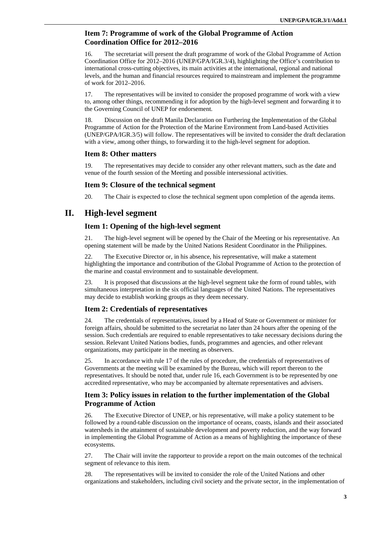# **Item 7: Programme of work of the Global Programme of Action Coordination Office for 2012–2016**

16. The secretariat will present the draft programme of work of the Global Programme of Action Coordination Office for 2012–2016 (UNEP/GPA/IGR.3/4), highlighting the Office's contribution to international cross-cutting objectives, its main activities at the international, regional and national levels, and the human and financial resources required to mainstream and implement the programme of work for 2012–2016.

17. The representatives will be invited to consider the proposed programme of work with a view to, among other things, recommending it for adoption by the high-level segment and forwarding it to the Governing Council of UNEP for endorsement.

18. Discussion on the draft Manila Declaration on Furthering the Implementation of the Global Programme of Action for the Protection of the Marine Environment from Land-based Activities (UNEP/GPA/IGR.3/5) will follow. The representatives will be invited to consider the draft declaration with a view, among other things, to forwarding it to the high-level segment for adoption.

### **Item 8: Other matters**

19. The representatives may decide to consider any other relevant matters, such as the date and venue of the fourth session of the Meeting and possible intersessional activities.

### **Item 9: Closure of the technical segment**

20. The Chair is expected to close the technical segment upon completion of the agenda items.

# **II. High-level segment**

# **Item 1: Opening of the high-level segment**

21. The high-level segment will be opened by the Chair of the Meeting or his representative. An opening statement will be made by the United Nations Resident Coordinator in the Philippines.

The Executive Director or, in his absence, his representative, will make a statement highlighting the importance and contribution of the Global Programme of Action to the protection of the marine and coastal environment and to sustainable development.

23. It is proposed that discussions at the high-level segment take the form of round tables, with simultaneous interpretation in the six official languages of the United Nations. The representatives may decide to establish working groups as they deem necessary.

# **Item 2: Credentials of representatives**

24. The credentials of representatives, issued by a Head of State or Government or minister for foreign affairs, should be submitted to the secretariat no later than 24 hours after the opening of the session. Such credentials are required to enable representatives to take necessary decisions during the session. Relevant United Nations bodies, funds, programmes and agencies, and other relevant organizations, may participate in the meeting as observers.

25. In accordance with rule 17 of the rules of procedure, the credentials of representatives of Governments at the meeting will be examined by the Bureau, which will report thereon to the representatives. It should be noted that, under rule 16, each Government is to be represented by one accredited representative, who may be accompanied by alternate representatives and advisers.

# **Item 3: Policy issues in relation to the further implementation of the Global Programme of Action**

26. The Executive Director of UNEP, or his representative, will make a policy statement to be followed by a round-table discussion on the importance of oceans, coasts, islands and their associated watersheds in the attainment of sustainable development and poverty reduction, and the way forward in implementing the Global Programme of Action as a means of highlighting the importance of these ecosystems.

27. The Chair will invite the rapporteur to provide a report on the main outcomes of the technical segment of relevance to this item.

28. The representatives will be invited to consider the role of the United Nations and other organizations and stakeholders, including civil society and the private sector, in the implementation of